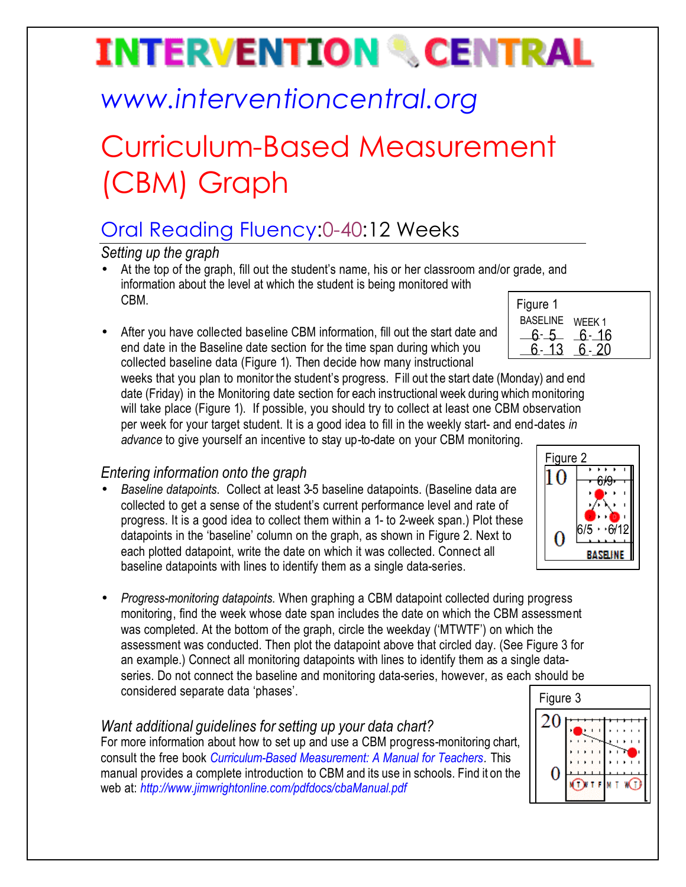# **INTERVENTION & CENTRAL**

## *www.interventioncentral.org*

## Curriculum-Based Measurement (CBM) Graph

### Oral Reading Fluency:0-40:12 Weeks

*Setting up the graph*

- At the top of the graph, fill out the student's name, his or her classroom and/or grade, and information about the level at which the student is being monitored with CBM.
- After you have collected baseline CBM information, fill out the start date and end date in the Baseline date section for the time span during which you collected baseline data (Figure 1). Then decide how many instructional

| Figure 1 |        |
|----------|--------|
| BASELINE | WEEK 1 |
| 6- 5     | 6- 16  |
| ג' 1     |        |

weeks that you plan to monitor the student's progress. Fill out the start date (Monday) and end date (Friday) in the Monitoring date section for each instructional week during which monitoring will take place (Figure 1). If possible, you should try to collect at least one CBM observation per week for your target student. It is a good idea to fill in the weekly start- and end-dates *in advance* to give yourself an incentive to stay up-to-date on your CBM monitoring.

### *Entering information onto the graph*

- *Baseline datapoints*. Collect at least 3-5 baseline datapoints. (Baseline data are collected to get a sense of the student's current performance level and rate of progress. It is a good idea to collect them within a 1- to 2-week span.) Plot these datapoints in the 'baseline' column on the graph, as shown in Figure 2. Next to each plotted datapoint, write the date on which it was collected. Connect all baseline datapoints with lines to identify them as a single data-series.
- *Progress-monitoring datapoints*. When graphing a CBM datapoint collected during progress monitoring, find the week whose date span includes the date on which the CBM assessment was completed. At the bottom of the graph, circle the weekday ('MTWTF') on which the assessment was conducted. Then plot the datapoint above that circled day. (See Figure 3 for an example.) Connect all monitoring datapoints with lines to identify them as a single dataseries. Do not connect the baseline and monitoring data-series, however, as each should be considered separate data 'phases'.

#### *Want additional guidelines for setting up your data chart?*

For more information about how to set up and use a CBM progress-monitoring chart, consult the free book *Curriculum-Based Measurement: A Manual for Teachers.* This manual provides a complete introduction to CBM and its use in schools. Find it on the web at: *http://www.jimwrightonline.com/pdfdocs/cbaManual.pdf*